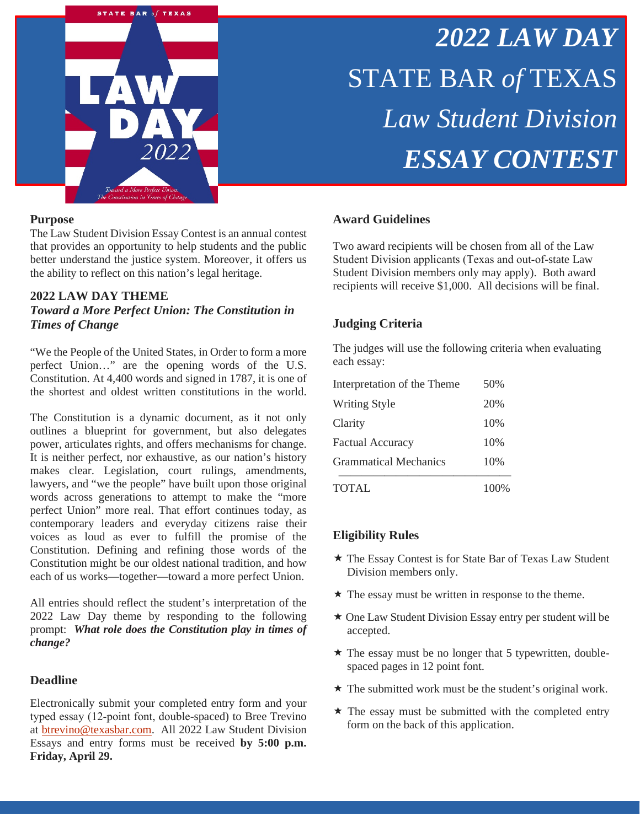

# *2022 LAW DAY* STATE BAR *of* TEXAS *Law Student Division ESSAY CONTEST*

#### **Purpose**

The Law Student Division Essay Contest is an annual contest that provides an opportunity to help students and the public better understand the justice system. Moreover, it offers us the ability to reflect on this nation's legal heritage.

#### **2022 LAW DAY THEME**

*Toward a More Perfect Union: The Constitution in Times of Change*

"We the People of the United States, in Order to form a more perfect Union…" are the opening words of the U.S. Constitution. At 4,400 words and signed in 1787, it is one of the shortest and oldest written constitutions in the world.

The Constitution is a dynamic document, as it not only outlines a blueprint for government, but also delegates power, articulates rights, and offers mechanisms for change. It is neither perfect, nor exhaustive, as our nation's history makes clear. Legislation, court rulings, amendments, lawyers, and "we the people" have built upon those original words across generations to attempt to make the "more perfect Union" more real. That effort continues today, as contemporary leaders and everyday citizens raise their voices as loud as ever to fulfill the promise of the Constitution. Defining and refining those words of the Constitution might be our oldest national tradition, and how each of us works—together—toward a more perfect Union.

All entries should reflect the student's interpretation of the 2022 Law Day theme by responding to the following prompt: *What role does the Constitution play in times of change?*

#### **Deadline**

Electronically submit your completed entry form and your typed essay (12‐point font, double-spaced) to Bree Trevino at [btrevino@texasbar.com.](mailto:btrevino@texasbar.com) All 2022 Law Student Division Essays and entry forms must be received **by 5:00 p.m. Friday, April 29.**

### **Award Guidelines**

Two award recipients will be chosen from all of the Law Student Division applicants (Texas and out‐of-state Law Student Division members only may apply). Both award recipients will receive \$1,000. All decisions will be final.

#### **Judging Criteria**

The judges will use the following criteria when evaluating each essay:

| <b>TOTAL</b>                 | 100% |
|------------------------------|------|
| <b>Grammatical Mechanics</b> | 10%  |
| Factual Accuracy             | 10%  |
| Clarity                      | 10%  |
| <b>Writing Style</b>         | 20%  |
| Interpretation of the Theme  | 50%  |

#### **Eligibility Rules**

- The Essay Contest is for State Bar of Texas Law Student Division members only.
- $\star$  The essay must be written in response to the theme.
- $\star$  One Law Student Division Essay entry per student will be accepted.
- $\star$  The essay must be no longer that 5 typewritten, doublespaced pages in 12 point font.
- \* The submitted work must be the student's original work.
- $\star$  The essay must be submitted with the completed entry form on the back of this application.